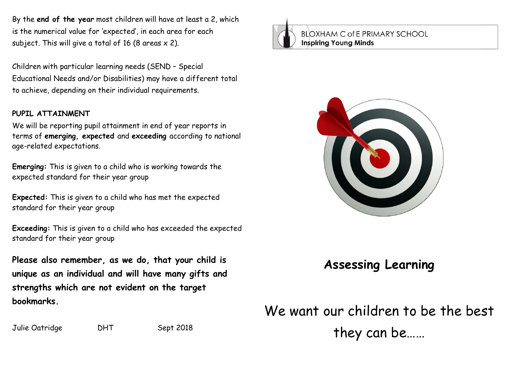By the **end of the year** most children will have at least a 2, which is the numerical value for 'expected', in each area for each subject. This will give a total of 16 (8 areas  $\times$  2).

Children with particular learning needs (SEND – Special Educational Needs and/or Disabilities) may have a different total to achieve, depending on their individual requirements.

## **PUPIL ATTAINMENT**

We will be reporting pupil attainment in end of year reports in terms of **emerging, expected** and **exceeding** according to national age-related expectations.

**Emerging:** This is given to a child who is working towards the expected standard for their year group

**Expected:** This is given to a child who has met the expected standard for their year group

**Exceeding:** This is given to a child who has exceeded the expected standard for their year group

**Please also remember, as we do, that your child is unique as an individual and will have many gifts and strengths which are not evident on the target bookmarks.**

Julie Oatridge DHT Sept 2018

**BLOXHAM C of E PRIMARY SCHOOL Inspiring Young Minds** 



## **Assessing Learning**

We want our children to be the best they can be……